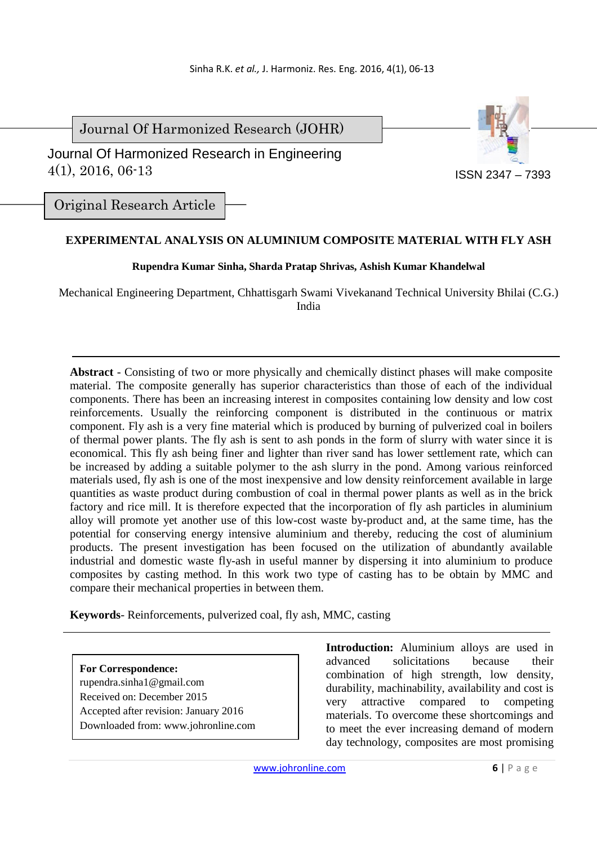Journal Of Harmonized Research (JOHR)

 Journal Of Harmonized Research in Engineering 4(1), 2016, 06-13



Original Research Article

# **EXPERIMENTAL ANALYSIS ON ALUMINIUM COMPOSITE MATERIAL WITH FLY ASH**

## **Rupendra Kumar Sinha, Sharda Pratap Shrivas, Ashish Kumar Khandelwal**

Mechanical Engineering Department, Chhattisgarh Swami Vivekanand Technical University Bhilai (C.G.) India

**Abstract** - Consisting of two or more physically and chemically distinct phases will make composite material. The composite generally has superior characteristics than those of each of the individual components. There has been an increasing interest in composites containing low density and low cost reinforcements. Usually the reinforcing component is distributed in the continuous or matrix component. Fly ash is a very fine material which is produced by burning of pulverized coal in boilers of thermal power plants. The fly ash is sent to ash ponds in the form of slurry with water since it is economical. This fly ash being finer and lighter than river sand has lower settlement rate, which can be increased by adding a suitable polymer to the ash slurry in the pond. Among various reinforced materials used, fly ash is one of the most inexpensive and low density reinforcement available in large quantities as waste product during combustion of coal in thermal power plants as well as in the brick factory and rice mill. It is therefore expected that the incorporation of fly ash particles in aluminium alloy will promote yet another use of this low-cost waste by-product and, at the same time, has the potential for conserving energy intensive aluminium and thereby, reducing the cost of aluminium products. The present investigation has been focused on the utilization of abundantly available industrial and domestic waste fly-ash in useful manner by dispersing it into aluminium to produce composites by casting method. In this work two type of casting has to be obtain by MMC and compare their mechanical properties in between them.

**Keywords**- Reinforcements, pulverized coal, fly ash, MMC, casting

**For Correspondence:**  rupendra.sinha1@gmail.com Received on: December 2015 Accepted after revision: January 2016 Downloaded from: www.johronline.com **Introduction:** Aluminium alloys are used in advanced solicitations because their combination of high strength, low density, durability, machinability, availability and cost is very attractive compared to competing materials. To overcome these shortcomings and to meet the ever increasing demand of modern day technology, composites are most promising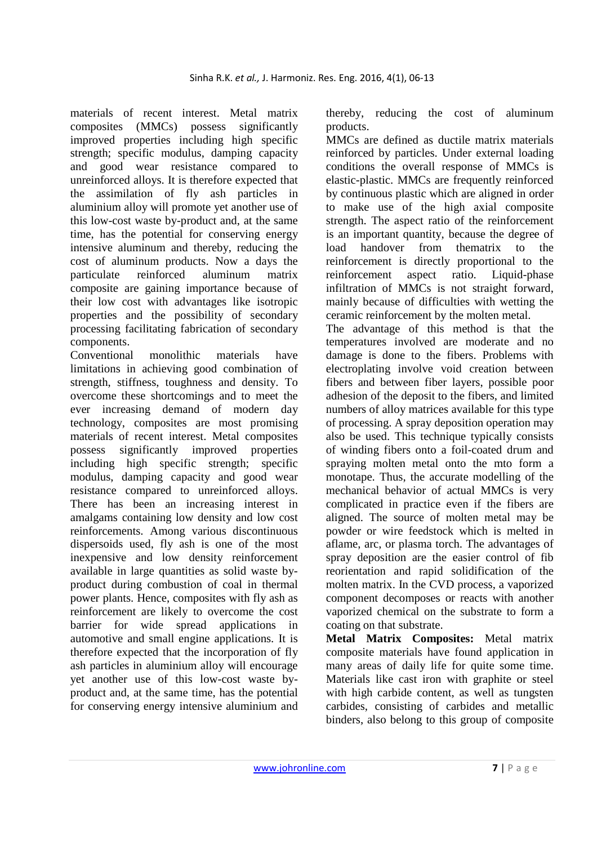materials of recent interest. Metal matrix composites (MMCs) possess significantly improved properties including high specific strength; specific modulus, damping capacity and good wear resistance compared to unreinforced alloys. It is therefore expected that the assimilation of fly ash particles in aluminium alloy will promote yet another use of this low-cost waste by-product and, at the same time, has the potential for conserving energy intensive aluminum and thereby, reducing the cost of aluminum products. Now a days the particulate reinforced aluminum matrix composite are gaining importance because of their low cost with advantages like isotropic properties and the possibility of secondary processing facilitating fabrication of secondary components.

Conventional monolithic materials have limitations in achieving good combination of strength, stiffness, toughness and density. To overcome these shortcomings and to meet the ever increasing demand of modern day technology, composites are most promising materials of recent interest. Metal composites possess significantly improved properties including high specific strength; specific modulus, damping capacity and good wear resistance compared to unreinforced alloys. There has been an increasing interest in amalgams containing low density and low cost reinforcements. Among various discontinuous dispersoids used, fly ash is one of the most inexpensive and low density reinforcement available in large quantities as solid waste byproduct during combustion of coal in thermal power plants. Hence, composites with fly ash as reinforcement are likely to overcome the cost barrier for wide spread applications in automotive and small engine applications. It is therefore expected that the incorporation of fly ash particles in aluminium alloy will encourage yet another use of this low-cost waste byproduct and, at the same time, has the potential for conserving energy intensive aluminium and thereby, reducing the cost of aluminum products.

MMCs are defined as ductile matrix materials reinforced by particles. Under external loading conditions the overall response of MMCs is elastic-plastic. MMCs are frequently reinforced by continuous plastic which are aligned in order to make use of the high axial composite strength. The aspect ratio of the reinforcement is an important quantity, because the degree of load handover from thematrix to the reinforcement is directly proportional to the reinforcement aspect ratio. Liquid-phase infiltration of MMCs is not straight forward, mainly because of difficulties with wetting the ceramic reinforcement by the molten metal.

The advantage of this method is that the temperatures involved are moderate and no damage is done to the fibers. Problems with electroplating involve void creation between fibers and between fiber layers, possible poor adhesion of the deposit to the fibers, and limited numbers of alloy matrices available for this type of processing. A spray deposition operation may also be used. This technique typically consists of winding fibers onto a foil-coated drum and spraying molten metal onto the mto form a monotape. Thus, the accurate modelling of the mechanical behavior of actual MMCs is very complicated in practice even if the fibers are aligned. The source of molten metal may be powder or wire feedstock which is melted in aflame, arc, or plasma torch. The advantages of spray deposition are the easier control of fib reorientation and rapid solidification of the molten matrix. In the CVD process, a vaporized component decomposes or reacts with another vaporized chemical on the substrate to form a coating on that substrate.

**Metal Matrix Composites:** Metal matrix composite materials have found application in many areas of daily life for quite some time. Materials like cast iron with graphite or steel with high carbide content, as well as tungsten carbides, consisting of carbides and metallic binders, also belong to this group of composite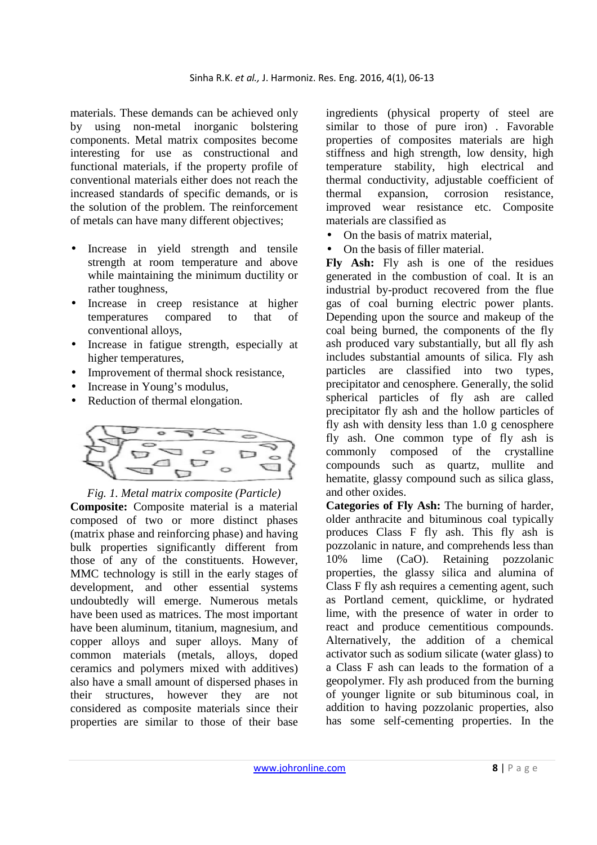materials. These demands can be achieved only by using non-metal inorganic bolstering components. Metal matrix composites become interesting for use as constructional and functional materials, if the property profile of conventional materials either does not reach the increased standards of specific demands, or is the solution of the problem. The reinforcement of metals can have many different objectives;

- Increase in yield strength and tensile strength at room temperature and above while maintaining the minimum ductility or rather toughness,
- Increase in creep resistance at higher temperatures compared to that of conventional alloys,
- Increase in fatigue strength, especially at higher temperatures,
- Improvement of thermal shock resistance,
- Increase in Young's modulus,
- Reduction of thermal elongation.



#### *Fig. 1. Metal matrix composite (Particle)*

**Composite:** Composite material is a material composed of two or more distinct phases (matrix phase and reinforcing phase) and having bulk properties significantly different from those of any of the constituents. However, MMC technology is still in the early stages of development, and other essential systems undoubtedly will emerge. Numerous metals have been used as matrices. The most important have been aluminum, titanium, magnesium, and copper alloys and super alloys. Many of common materials (metals, alloys, doped ceramics and polymers mixed with additives) also have a small amount of dispersed phases in their structures, however they are not considered as composite materials since their properties are similar to those of their base

ingredients (physical property of steel are similar to those of pure iron) . Favorable properties of composites materials are high stiffness and high strength, low density, high temperature stability, high electrical and thermal conductivity, adjustable coefficient of thermal expansion, corrosion resistance, improved wear resistance etc. Composite materials are classified as

- On the basis of matrix material,
- On the basis of filler material.

**Fly Ash:** Fly ash is one of the residues generated in the combustion of coal. It is an industrial by-product recovered from the flue gas of coal burning electric power plants. Depending upon the source and makeup of the coal being burned, the components of the fly ash produced vary substantially, but all fly ash includes substantial amounts of silica. Fly ash particles are classified into two types, precipitator and cenosphere. Generally, the solid spherical particles of fly ash are called precipitator fly ash and the hollow particles of fly ash with density less than 1.0 g cenosphere fly ash. One common type of fly ash is commonly composed of the crystalline compounds such as quartz, mullite and hematite, glassy compound such as silica glass, and other oxides.

**Categories of Fly Ash:** The burning of harder, older anthracite and bituminous coal typically produces Class F fly ash. This fly ash is pozzolanic in nature, and comprehends less than 10% lime (CaO). Retaining pozzolanic properties, the glassy silica and alumina of Class F fly ash requires a cementing agent, such as Portland cement, quicklime, or hydrated lime, with the presence of water in order to react and produce cementitious compounds. Alternatively, the addition of a chemical activator such as sodium silicate (water glass) to a Class F ash can leads to the formation of a geopolymer. Fly ash produced from the burning of younger lignite or sub bituminous coal, in addition to having pozzolanic properties, also has some self-cementing properties. In the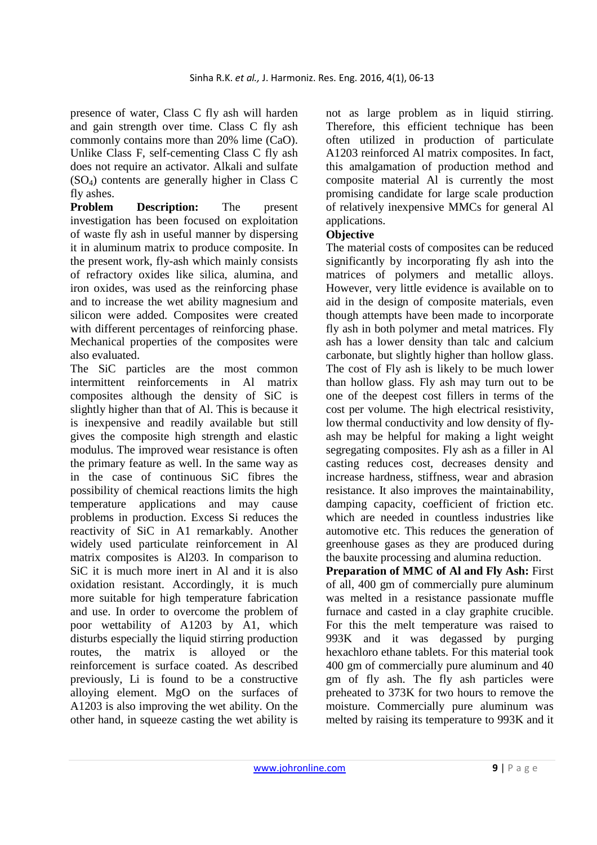presence of water, Class C fly ash will harden and gain strength over time. Class C fly ash commonly contains more than 20% lime (CaO). Unlike Class F, self-cementing Class C fly ash does not require an activator. Alkali and sulfate  $(SO<sub>4</sub>)$  contents are generally higher in Class C fly ashes.

**Problem Description:** The present investigation has been focused on exploitation of waste fly ash in useful manner by dispersing it in aluminum matrix to produce composite. In the present work, fly-ash which mainly consists of refractory oxides like silica, alumina, and iron oxides, was used as the reinforcing phase and to increase the wet ability magnesium and silicon were added. Composites were created with different percentages of reinforcing phase. Mechanical properties of the composites were also evaluated.

The SiC particles are the most common intermittent reinforcements in Al matrix composites although the density of SiC is slightly higher than that of Al. This is because it is inexpensive and readily available but still gives the composite high strength and elastic modulus. The improved wear resistance is often the primary feature as well. In the same way as in the case of continuous SiC fibres the possibility of chemical reactions limits the high temperature applications and may cause problems in production. Excess Si reduces the reactivity of SiC in A1 remarkably. Another widely used particulate reinforcement in Al matrix composites is Al203. In comparison to SiC it is much more inert in Al and it is also oxidation resistant. Accordingly, it is much more suitable for high temperature fabrication and use. In order to overcome the problem of poor wettability of A1203 by A1, which disturbs especially the liquid stirring production routes, the matrix is alloyed or the reinforcement is surface coated. As described previously, Li is found to be a constructive alloying element. MgO on the surfaces of A1203 is also improving the wet ability. On the other hand, in squeeze casting the wet ability is

not as large problem as in liquid stirring. Therefore, this efficient technique has been often utilized in production of particulate A1203 reinforced Al matrix composites. In fact, this amalgamation of production method and composite material Al is currently the most promising candidate for large scale production of relatively inexpensive MMCs for general Al applications.

## **Objective**

The material costs of composites can be reduced significantly by incorporating fly ash into the matrices of polymers and metallic alloys. However, very little evidence is available on to aid in the design of composite materials, even though attempts have been made to incorporate fly ash in both polymer and metal matrices. Fly ash has a lower density than talc and calcium carbonate, but slightly higher than hollow glass. The cost of Fly ash is likely to be much lower than hollow glass. Fly ash may turn out to be one of the deepest cost fillers in terms of the cost per volume. The high electrical resistivity, low thermal conductivity and low density of flyash may be helpful for making a light weight segregating composites. Fly ash as a filler in Al casting reduces cost, decreases density and increase hardness, stiffness, wear and abrasion resistance. It also improves the maintainability, damping capacity, coefficient of friction etc. which are needed in countless industries like automotive etc. This reduces the generation of greenhouse gases as they are produced during the bauxite processing and alumina reduction.

**Preparation of MMC of Al and Fly Ash:** First of all, 400 gm of commercially pure aluminum was melted in a resistance passionate muffle furnace and casted in a clay graphite crucible. For this the melt temperature was raised to 993K and it was degassed by purging hexachloro ethane tablets. For this material took 400 gm of commercially pure aluminum and 40 gm of fly ash. The fly ash particles were preheated to 373K for two hours to remove the moisture. Commercially pure aluminum was melted by raising its temperature to 993K and it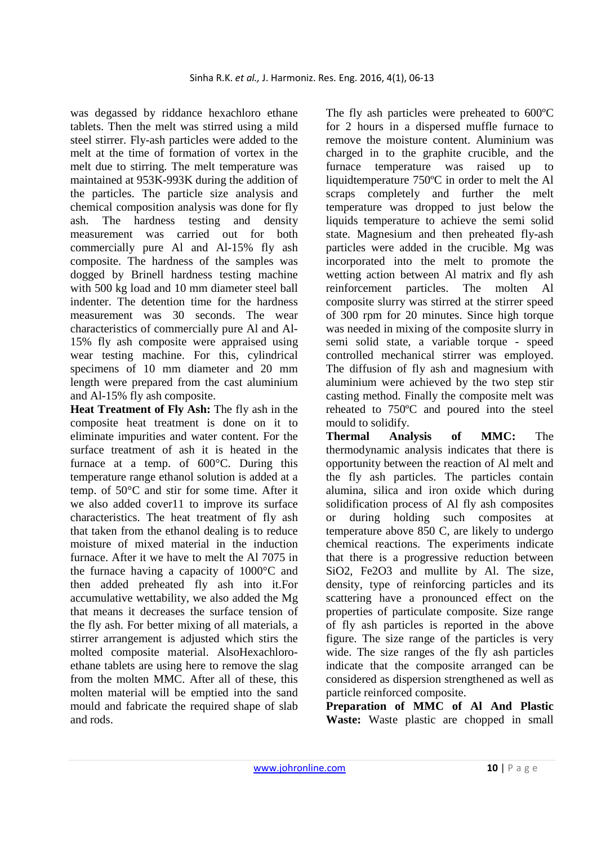was degassed by riddance hexachloro ethane tablets. Then the melt was stirred using a mild steel stirrer. Fly-ash particles were added to the melt at the time of formation of vortex in the melt due to stirring. The melt temperature was maintained at 953K-993K during the addition of the particles. The particle size analysis and chemical composition analysis was done for fly ash. The hardness testing and density measurement was carried out for both commercially pure Al and Al-15% fly ash composite. The hardness of the samples was dogged by Brinell hardness testing machine with 500 kg load and 10 mm diameter steel ball indenter. The detention time for the hardness measurement was 30 seconds. The wear characteristics of commercially pure Al and Al-15% fly ash composite were appraised using wear testing machine. For this, cylindrical specimens of 10 mm diameter and 20 mm length were prepared from the cast aluminium and Al-15% fly ash composite.

**Heat Treatment of Fly Ash:** The fly ash in the composite heat treatment is done on it to eliminate impurities and water content. For the surface treatment of ash it is heated in the furnace at a temp. of 600°C. During this temperature range ethanol solution is added at a temp. of 50°C and stir for some time. After it we also added cover11 to improve its surface characteristics. The heat treatment of fly ash that taken from the ethanol dealing is to reduce moisture of mixed material in the induction furnace. After it we have to melt the Al 7075 in the furnace having a capacity of 1000°C and then added preheated fly ash into it.For accumulative wettability, we also added the Mg that means it decreases the surface tension of the fly ash. For better mixing of all materials, a stirrer arrangement is adjusted which stirs the molted composite material. AlsoHexachloroethane tablets are using here to remove the slag from the molten MMC. After all of these, this molten material will be emptied into the sand mould and fabricate the required shape of slab and rods.

The fly ash particles were preheated to 600ºC for 2 hours in a dispersed muffle furnace to remove the moisture content. Aluminium was charged in to the graphite crucible, and the furnace temperature was raised up to liquidtemperature 750ºC in order to melt the Al scraps completely and further the melt temperature was dropped to just below the liquids temperature to achieve the semi solid state. Magnesium and then preheated fly-ash particles were added in the crucible. Mg was incorporated into the melt to promote the wetting action between Al matrix and fly ash reinforcement particles. The molten Al composite slurry was stirred at the stirrer speed of 300 rpm for 20 minutes. Since high torque was needed in mixing of the composite slurry in semi solid state, a variable torque - speed controlled mechanical stirrer was employed. The diffusion of fly ash and magnesium with aluminium were achieved by the two step stir casting method. Finally the composite melt was reheated to 750ºC and poured into the steel mould to solidify.

**Thermal Analysis of MMC:** The thermodynamic analysis indicates that there is opportunity between the reaction of Al melt and the fly ash particles. The particles contain alumina, silica and iron oxide which during solidification process of Al fly ash composites or during holding such composites at temperature above 850 C, are likely to undergo chemical reactions. The experiments indicate that there is a progressive reduction between SiO2, Fe2O3 and mullite by Al. The size, density, type of reinforcing particles and its scattering have a pronounced effect on the properties of particulate composite. Size range of fly ash particles is reported in the above figure. The size range of the particles is very wide. The size ranges of the fly ash particles indicate that the composite arranged can be considered as dispersion strengthened as well as particle reinforced composite.

**Preparation of MMC of Al And Plastic Waste:** Waste plastic are chopped in small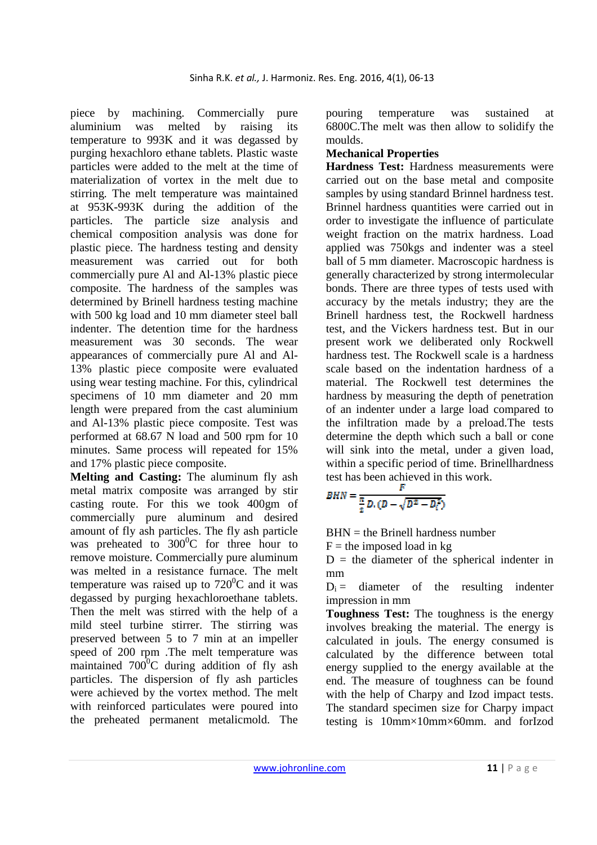piece by machining. Commercially pure aluminium was melted by raising its temperature to 993K and it was degassed by purging hexachloro ethane tablets. Plastic waste particles were added to the melt at the time of materialization of vortex in the melt due to stirring. The melt temperature was maintained at 953K-993K during the addition of the particles. The particle size analysis and chemical composition analysis was done for plastic piece. The hardness testing and density measurement was carried out for both commercially pure Al and Al-13% plastic piece composite. The hardness of the samples was determined by Brinell hardness testing machine with 500 kg load and 10 mm diameter steel ball indenter. The detention time for the hardness measurement was 30 seconds. The wear appearances of commercially pure Al and Al-13% plastic piece composite were evaluated using wear testing machine. For this, cylindrical specimens of 10 mm diameter and 20 mm length were prepared from the cast aluminium and Al-13% plastic piece composite. Test was performed at 68.67 N load and 500 rpm for 10 minutes. Same process will repeated for 15% and 17% plastic piece composite.

**Melting and Casting:** The aluminum fly ash metal matrix composite was arranged by stir casting route. For this we took 400gm of commercially pure aluminum and desired amount of fly ash particles. The fly ash particle was preheated to  $300^{\circ}$ C for three hour to remove moisture. Commercially pure aluminum was melted in a resistance furnace. The melt temperature was raised up to  $720^0$ C and it was degassed by purging hexachloroethane tablets. Then the melt was stirred with the help of a mild steel turbine stirrer. The stirring was preserved between 5 to 7 min at an impeller speed of 200 rpm .The melt temperature was maintained  $700^{\circ}$ C during addition of fly ash particles. The dispersion of fly ash particles were achieved by the vortex method. The melt with reinforced particulates were poured into the preheated permanent metalicmold. The

pouring temperature was sustained at 6800C.The melt was then allow to solidify the moulds.

#### **Mechanical Properties**

**Hardness Test:** Hardness measurements were carried out on the base metal and composite samples by using standard Brinnel hardness test. Brinnel hardness quantities were carried out in order to investigate the influence of particulate weight fraction on the matrix hardness. Load applied was 750kgs and indenter was a steel ball of 5 mm diameter. Macroscopic hardness is generally characterized by strong intermolecular bonds. There are three types of tests used with accuracy by the metals industry; they are the Brinell hardness test, the Rockwell hardness test, and the Vickers hardness test. But in our present work we deliberated only Rockwell hardness test. The Rockwell scale is a hardness scale based on the indentation hardness of a material. The Rockwell test determines the hardness by measuring the depth of penetration of an indenter under a large load compared to the infiltration made by a preload.The tests determine the depth which such a ball or cone will sink into the metal, under a given load, within a specific period of time. Brinellhardness test has been achieved in this work.

$$
BHN = \frac{F}{\frac{\pi}{2} D.(D - \sqrt{D^2 - D_i^2})}
$$

 $BHN =$  the Brinell hardness number

 $F =$  the imposed load in kg

 $D =$  the diameter of the spherical indenter in mm

 $D_i$  = diameter of the resulting indenter impression in mm

**Toughness Test:** The toughness is the energy involves breaking the material. The energy is calculated in jouls. The energy consumed is calculated by the difference between total energy supplied to the energy available at the end. The measure of toughness can be found with the help of Charpy and Izod impact tests. The standard specimen size for Charpy impact testing is 10mm×10mm×60mm. and forIzod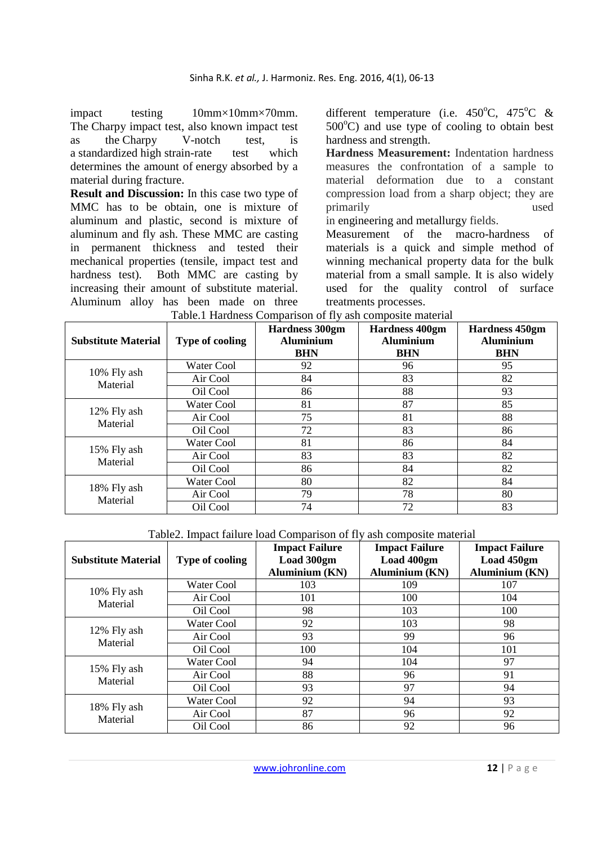impact testing 10mm×10mm×70mm. The Charpy impact test, also known impact test as the Charpy V-notch test, is a standardized high strain-rate test which determines the amount of energy absorbed by a material during fracture.

**Result and Discussion:** In this case two type of MMC has to be obtain, one is mixture of aluminum and plastic, second is mixture of aluminum and fly ash. These MMC are casting in permanent thickness and tested their mechanical properties (tensile, impact test and hardness test). Both MMC are casting by increasing their amount of substitute material. Aluminum alloy has been made on three

different temperature (i.e.  $450^{\circ}$ C,  $475^{\circ}$ C &  $500^{\circ}$ C) and use type of cooling to obtain best hardness and strength.

**Hardness Measurement:** Indentation hardness measures the confrontation of a sample to material deformation due to a constant compression load from a sharp object; they are primarily used

in engineering and metallurgy fields.

Measurement of the macro-hardness of materials is a quick and simple method of winning mechanical property data for the bulk material from a small sample. It is also widely used for the quality control of surface treatments processes.

| <b>Substitute Material</b> | <b>Type of cooling</b> | <b>Hardness 300gm</b><br><b>Aluminium</b><br><b>BHN</b> | <b>Hardness 400gm</b><br><b>Aluminium</b><br><b>BHN</b> | <b>Hardness 450gm</b><br><b>Aluminium</b><br><b>BHN</b> |
|----------------------------|------------------------|---------------------------------------------------------|---------------------------------------------------------|---------------------------------------------------------|
| 10% Fly ash<br>Material    | Water Cool             | 92                                                      | 96                                                      | 95                                                      |
|                            | Air Cool               | 84                                                      | 83                                                      | 82                                                      |
|                            | Oil Cool               | 86                                                      | 88                                                      | 93                                                      |
| 12% Fly ash<br>Material    | Water Cool             | 81                                                      | 87                                                      | 85                                                      |
|                            | Air Cool               | 75                                                      | 81                                                      | 88                                                      |
|                            | Oil Cool               | 72                                                      | 83                                                      | 86                                                      |
| 15% Fly ash<br>Material    | Water Cool             | 81                                                      | 86                                                      | 84                                                      |
|                            | Air Cool               | 83                                                      | 83                                                      | 82                                                      |
|                            | Oil Cool               | 86                                                      | 84                                                      | 82                                                      |
| 18% Fly ash<br>Material    | Water Cool             | 80                                                      | 82                                                      | 84                                                      |
|                            | Air Cool               | 79                                                      | 78                                                      | 80                                                      |
|                            | Oil Cool               | 74                                                      | 72                                                      | 83                                                      |

|  |  |  |  | Table.1 Hardness Comparison of fly ash composite material |
|--|--|--|--|-----------------------------------------------------------|
|--|--|--|--|-----------------------------------------------------------|

Table2. Impact failure load Comparison of fly ash composite material

| <b>Substitute Material</b> | <b>Type of cooling</b> | <b>Impact Failure</b><br>Load 300gm<br><b>Aluminium (KN)</b> | <b>Impact Failure</b><br>Load 400gm<br><b>Aluminium (KN)</b> | <b>Impact Failure</b><br>Load 450gm<br><b>Aluminium (KN)</b> |
|----------------------------|------------------------|--------------------------------------------------------------|--------------------------------------------------------------|--------------------------------------------------------------|
| 10% Fly ash<br>Material    | Water Cool             | 103                                                          | 109                                                          | 107                                                          |
|                            | Air Cool               | 101                                                          | 100                                                          | 104                                                          |
|                            | Oil Cool               | 98                                                           | 103                                                          | 100                                                          |
| 12% Fly ash<br>Material    | Water Cool             | 92                                                           | 103                                                          | 98                                                           |
|                            | Air Cool               | 93                                                           | 99                                                           | 96                                                           |
|                            | Oil Cool               | 100                                                          | 104                                                          | 101                                                          |
| 15% Fly ash<br>Material    | Water Cool             | 94                                                           | 104                                                          | 97                                                           |
|                            | Air Cool               | 88                                                           | 96                                                           | 91                                                           |
|                            | Oil Cool               | 93                                                           | 97                                                           | 94                                                           |
| 18% Fly ash<br>Material    | Water Cool             | 92                                                           | 94                                                           | 93                                                           |
|                            | Air Cool               | 87                                                           | 96                                                           | 92                                                           |
|                            | Oil Cool               | 86                                                           | 92                                                           | 96                                                           |